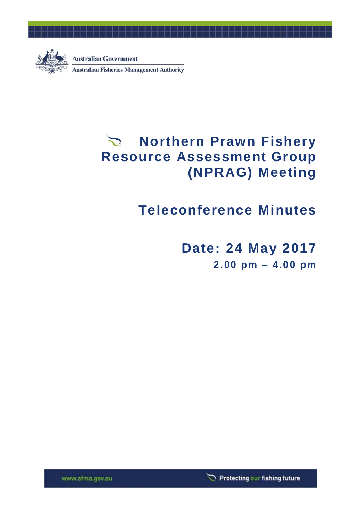

# **Northern Prawn Fishery Resource Assessment Group (NPRAG) Meeting**

# **Teleconference Minutes**

**Date: 24 May 2017**

**2.00 pm – 4.00 pm**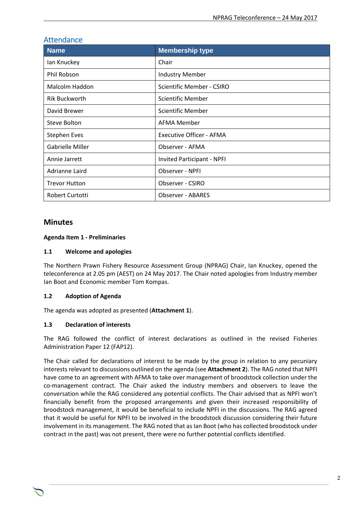| Attendance              |                            |  |  |
|-------------------------|----------------------------|--|--|
| <b>Name</b>             | <b>Membership type</b>     |  |  |
| lan Knuckey             | Chair                      |  |  |
| <b>Phil Robson</b>      | <b>Industry Member</b>     |  |  |
| Malcolm Haddon          | Scientific Member - CSIRO  |  |  |
| <b>Rik Buckworth</b>    | Scientific Member          |  |  |
| David Brewer            | <b>Scientific Member</b>   |  |  |
| Steve Bolton            | <b>AFMA Member</b>         |  |  |
| <b>Stephen Eves</b>     | Executive Officer - AFMA   |  |  |
| <b>Gabrielle Miller</b> | Observer - AFMA            |  |  |
| Annie Jarrett           | Invited Participant - NPFI |  |  |
| Adrianne Laird          | Observer - NPFI            |  |  |
| <b>Trevor Hutton</b>    | Observer - CSIRO           |  |  |
| Robert Curtotti         | <b>Observer - ABARES</b>   |  |  |

### Attendance

#### **Minutes**

#### **Agenda Item 1 - Preliminaries**

#### **1.1 Welcome and apologies**

The Northern Prawn Fishery Resource Assessment Group (NPRAG) Chair, Ian Knuckey, opened the teleconference at 2.05 pm (AEST) on 24 May 2017. The Chair noted apologies from Industry member Ian Boot and Economic member Tom Kompas.

#### **1.2 Adoption of Agenda**

The agenda was adopted as presented (**Attachment 1**).

#### **1.3 Declaration of interests**

The RAG followed the conflict of interest declarations as outlined in the revised Fisheries Administration Paper 12 (FAP12).

The Chair called for declarations of interest to be made by the group in relation to any pecuniary interests relevant to discussions outlined on the agenda (see **Attachment 2**). The RAG noted that NPFI have come to an agreement with AFMA to take over management of broodstock collection under the co-management contract. The Chair asked the industry members and observers to leave the conversation while the RAG considered any potential conflicts. The Chair advised that as NPFI won't financially benefit from the proposed arrangements and given their increased responsibility of broodstock management, it would be beneficial to include NPFI in the discussions. The RAG agreed that it would be useful for NPFI to be involved in the broodstock discussion considering their future involvement in its management. The RAG noted that as Ian Boot (who has collected broodstock under contract in the past) was not present, there were no further potential conflicts identified.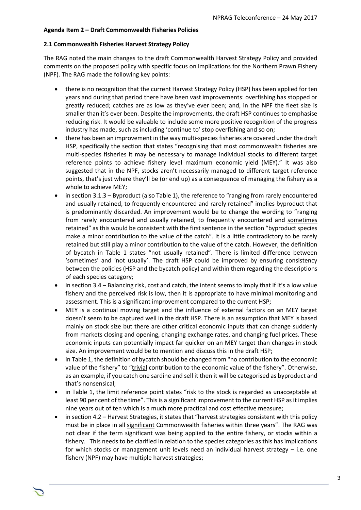#### **Agenda Item 2 – Draft Commonwealth Fisheries Policies**

#### **2.1 Commonwealth Fisheries Harvest Strategy Policy**

The RAG noted the main changes to the draft Commonwealth Harvest Strategy Policy and provided comments on the proposed policy with specific focus on implications for the Northern Prawn Fishery (NPF). The RAG made the following key points:

- there is no recognition that the current Harvest Strategy Policy (HSP) has been applied for ten years and during that period there have been vast improvements: overfishing has stopped or greatly reduced; catches are as low as they've ever been; and, in the NPF the fleet size is smaller than it's ever been. Despite the improvements, the draft HSP continues to emphasise reducing risk. It would be valuable to include some more positive recognition of the progress industry has made, such as including 'continue to' stop overfishing and so on;
- there has been an improvement in the way multi-species fisheries are covered under the draft HSP, specifically the section that states "recognising that most commonwealth fisheries are multi-species fisheries it may be necessary to manage individual stocks to different target reference points to achieve fishery level maximum economic yield (MEY)." It was also suggested that in the NPF, stocks aren't necessarily managed to different target reference points, that's just where they'll be (or end up) as a consequence of managing the fishery as a whole to achieve MEY;
- in section 3.1.3 Byproduct (also Table 1), the reference to "ranging from rarely encountered and usually retained, to frequently encountered and rarely retained" implies byproduct that is predominantly discarded. An improvement would be to change the wording to "ranging from rarely encountered and usually retained, to frequently encountered and sometimes retained" as this would be consistent with the first sentence in the section "byproduct species make a minor contribution to the value of the catch". It is a little contradictory to be rarely retained but still play a minor contribution to the value of the catch. However, the definition of bycatch in Table 1 states "not usually retained". There is limited difference between 'sometimes' and 'not usually'. The draft HSP could be improved by ensuring consistency between the policies (HSP and the bycatch policy) and within them regarding the descriptions of each species category;
- in section 3.4 Balancing risk, cost and catch, the intent seems to imply that if it's a low value fishery and the perceived risk is low, then it is appropriate to have minimal monitoring and assessment. This is a significant improvement compared to the current HSP;
- MEY is a continual moving target and the influence of external factors on an MEY target doesn't seem to be captured well in the draft HSP. There is an assumption that MEY is based mainly on stock size but there are other critical economic inputs that can change suddenly from markets closing and opening, changing exchange rates, and changing fuel prices. These economic inputs can potentially impact far quicker on an MEY target than changes in stock size. An improvement would be to mention and discuss this in the draft HSP;
- in Table 1, the definition of bycatch should be changed from "no contribution to the economic value of the fishery" to "trivial contribution to the economic value of the fishery". Otherwise, as an example, if you catch one sardine and sell it then it will be categorised as byproduct and that's nonsensical;
- in Table 1, the limit reference point states "risk to the stock is regarded as unacceptable at least 90 per cent of the time". This is a significant improvement to the current HSP as it implies nine years out of ten which is a much more practical and cost effective measure;
- in section 4.2 Harvest Strategies, it states that "harvest strategies consistent with this policy must be in place in all significant Commonwealth fisheries within three years". The RAG was not clear if the term significant was being applied to the entire fishery, or stocks within a fishery. This needs to be clarified in relation to the species categories as this has implications for which stocks or management unit levels need an individual harvest strategy – i.e. one fishery (NPF) may have multiple harvest strategies;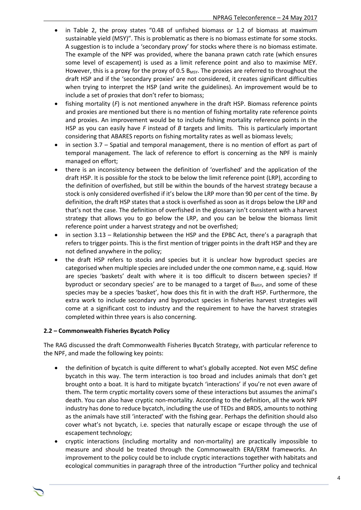- in Table 2, the proxy states "0.48 of unfished biomass or 1.2 of biomass at maximum sustainable yield (MSY)". This is problematic as there is no biomass estimate for some stocks. A suggestion is to include a 'secondary proxy' for stocks where there is no biomass estimate. The example of the NPF was provided, where the banana prawn catch rate (which ensures some level of escapement) is used as a limit reference point and also to maximise MEY. However, this is a proxy for the proxy of 0.5  $B_{MSY}$ . The proxies are referred to throughout the draft HSP and if the 'secondary proxies' are not considered, it creates significant difficulties when trying to interpret the HSP (and write the guidelines). An improvement would be to include a set of proxies that don't refer to biomass;
- fishing mortality (*F*) is not mentioned anywhere in the draft HSP. Biomass reference points and proxies are mentioned but there is no mention of fishing mortality rate reference points and proxies. An improvement would be to include fishing mortality reference points in the HSP as you can easily have *F* instead of *B* targets and limits. This is particularly important considering that ABARES reports on fishing mortality rates as well as biomass levels;
- in section 3.7 Spatial and temporal management, there is no mention of effort as part of temporal management. The lack of reference to effort is concerning as the NPF is mainly managed on effort;
- there is an inconsistency between the definition of 'overfished' and the application of the draft HSP. It is possible for the stock to be below the limit reference point (LRP), according to the definition of overfished, but still be within the bounds of the harvest strategy because a stock is only considered overfished if it's below the LRP more than 90 per cent of the time. By definition, the draft HSP states that a stock is overfished as soon as it drops below the LRP and that's not the case. The definition of overfished in the glossary isn't consistent with a harvest strategy that allows you to go below the LRP, and you can be below the biomass limit reference point under a harvest strategy and not be overfished;
- in section 3.13 Relationship between the HSP and the EPBC Act, there's a paragraph that refers to trigger points. This is the first mention of trigger points in the draft HSP and they are not defined anywhere in the policy;
- the draft HSP refers to stocks and species but it is unclear how byproduct species are categorised when multiple species are included under the one common name, e.g. squid. How are species 'baskets' dealt with where it is too difficult to discern between species? If byproduct or secondary species' are to be managed to a target of  $B_{MSY}$ , and some of these species may be a species 'basket', how does this fit in with the draft HSP. Furthermore, the extra work to include secondary and byproduct species in fisheries harvest strategies will come at a significant cost to industry and the requirement to have the harvest strategies completed within three years is also concerning.

#### **2.2 – Commonwealth Fisheries Bycatch Policy**

The RAG discussed the draft Commonwealth Fisheries Bycatch Strategy, with particular reference to the NPF, and made the following key points:

- the definition of bycatch is quite different to what's globally accepted. Not even MSC define bycatch in this way. The term interaction is too broad and includes animals that don't get brought onto a boat. It is hard to mitigate bycatch 'interactions' if you're not even aware of them. The term cryptic mortality covers some of these interactions but assumes the animal's death. You can also have cryptic non-mortality. According to the definition, all the work NPF industry has done to reduce bycatch, including the use of TEDs and BRDS, amounts to nothing as the animals have still 'interacted' with the fishing gear. Perhaps the definition should also cover what's not bycatch, i.e. species that naturally escape or escape through the use of escapement technology;
- cryptic interactions (including mortality and non-mortality) are practically impossible to measure and should be treated through the Commonwealth ERA/ERM frameworks. An improvement to the policy could be to include cryptic interactions together with habitats and ecological communities in paragraph three of the introduction "Further policy and technical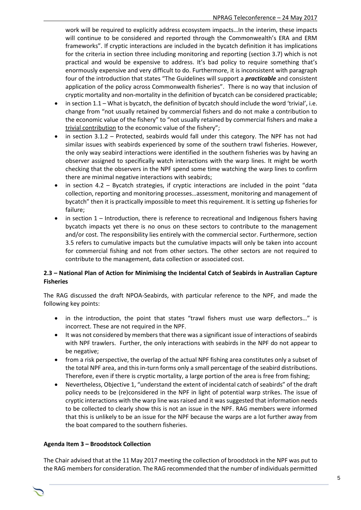work will be required to explicitly address ecosystem impacts…In the interim, these impacts will continue to be considered and reported through the Commonwealth's ERA and ERM frameworks". If cryptic interactions are included in the bycatch definition it has implications for the criteria in section three including monitoring and reporting (section 3.7) which is not practical and would be expensive to address. It's bad policy to require something that's enormously expensive and very difficult to do. Furthermore, it is inconsistent with paragraph four of the introduction that states "The Guidelines will support a *practicable* and consistent application of the policy across Commonwealth fisheries". There is no way that inclusion of cryptic mortality and non-mortality in the definition of bycatch can be considered practicable;

- in section 1.1 What is bycatch, the definition of bycatch should include the word 'trivial', i.e. change from "not usually retained by commercial fishers and do not make a contribution to the economic value of the fishery" to "not usually retained by commercial fishers and make a trivial contribution to the economic value of the fishery";
- in section 3.1.2 Protected, seabirds would fall under this category. The NPF has not had similar issues with seabirds experienced by some of the southern trawl fisheries. However, the only way seabird interactions were identified in the southern fisheries was by having an observer assigned to specifically watch interactions with the warp lines. It might be worth checking that the observers in the NPF spend some time watching the warp lines to confirm there are minimal negative interactions with seabirds;
- in section 4.2 Bycatch strategies, if cryptic interactions are included in the point "data collection, reporting and monitoring processes…assessment, monitoring and management of bycatch" then it is practically impossible to meet this requirement. It is setting up fisheries for failure;
- in section 1 Introduction, there is reference to recreational and Indigenous fishers having bycatch impacts yet there is no onus on these sectors to contribute to the management and/or cost. The responsibility lies entirely with the commercial sector. Furthermore, section 3.5 refers to cumulative impacts but the cumulative impacts will only be taken into account for commercial fishing and not from other sectors. The other sectors are not required to contribute to the management, data collection or associated cost.

#### **2.3 – National Plan of Action for Minimising the Incidental Catch of Seabirds in Australian Capture Fisheries**

The RAG discussed the draft NPOA-Seabirds, with particular reference to the NPF, and made the following key points:

- in the introduction, the point that states "trawl fishers must use warp deflectors…" is incorrect. These are not required in the NPF.
- It was not considered by members that there was a significant issue of interactions of seabirds with NPF trawlers. Further, the only interactions with seabirds in the NPF do not appear to be negative;
- from a risk perspective, the overlap of the actual NPF fishing area constitutes only a subset of the total NPF area, and this in-turn forms only a small percentage of the seabird distributions. Therefore, even if there is cryptic mortality, a large portion of the area is free from fishing;
- Nevertheless, Objective 1, "understand the extent of incidental catch of seabirds" of the draft policy needs to be (re)considered in the NPF in light of potential warp strikes. The issue of cryptic interactions with the warp line was raised and it was suggested that information needs to be collected to clearly show this is not an issue in the NPF. RAG members were informed that this is unlikely to be an issue for the NPF because the warps are a lot further away from the boat compared to the southern fisheries.

#### **Agenda Item 3 – Broodstock Collection**

The Chair advised that at the 11 May 2017 meeting the collection of broodstock in the NPF was put to the RAG members for consideration. The RAG recommended that the number of individuals permitted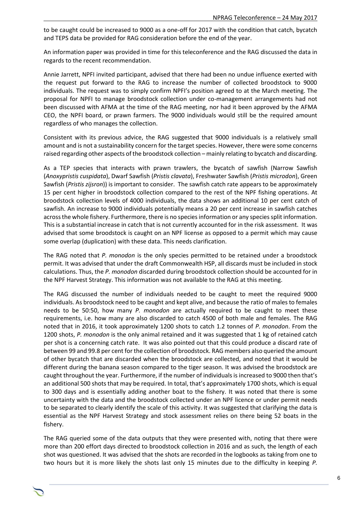to be caught could be increased to 9000 as a one-off for 2017 with the condition that catch, bycatch and TEPS data be provided for RAG consideration before the end of the year.

An information paper was provided in time for this teleconference and the RAG discussed the data in regards to the recent recommendation.

Annie Jarrett, NPFI invited participant, advised that there had been no undue influence exerted with the request put forward to the RAG to increase the number of collected broodstock to 9000 individuals. The request was to simply confirm NPFI's position agreed to at the March meeting. The proposal for NPFI to manage broodstock collection under co-management arrangements had not been discussed with AFMA at the time of the RAG meeting, nor had it been approved by the AFMA CEO, the NPFI board, or prawn farmers. The 9000 individuals would still be the required amount regardless of who manages the collection.

Consistent with its previous advice, the RAG suggested that 9000 individuals is a relatively small amount and is not a sustainability concern for the target species. However, there were some concerns raised regarding other aspects of the broodstock collection – mainly relating to bycatch and discarding.

As a TEP species that interacts with prawn trawlers, the bycatch of sawfish (Narrow Sawfish (*Anoxypristis cuspidata*), Dwarf Sawfish (*Pristis clavata*), Freshwater Sawfish (*Pristis microdon*), Green Sawfish (*Pristis zijsron*)) is important to consider. The sawfish catch rate appears to be approximately 15 per cent higher in broodstock collection compared to the rest of the NPF fishing operations. At broodstock collection levels of 4000 individuals, the data shows an additional 10 per cent catch of sawfish. An increase to 9000 individuals potentially means a 20 per cent increase in sawfish catches across the whole fishery. Furthermore, there is no species information or any species split information. This is a substantial increase in catch that is not currently accounted for in the risk assessment. It was advised that some broodstock is caught on an NPF license as opposed to a permit which may cause some overlap (duplication) with these data. This needs clarification.

The RAG noted that *P. monodon* is the only species permitted to be retained under a broodstock permit. It was advised that under the draft Commonwealth HSP, all discards must be included in stock calculations. Thus, the *P. monodon* discarded during broodstock collection should be accounted for in the NPF Harvest Strategy. This information was not available to the RAG at this meeting.

The RAG discussed the number of individuals needed to be caught to meet the required 9000 individuals. As broodstock need to be caught and kept alive, and because the ratio of males to females needs to be 50:50, how many *P. monodon* are actually required to be caught to meet these requirements, i.e. how many are also discarded to catch 4500 of both male and females. The RAG noted that in 2016, it took approximately 1200 shots to catch 1.2 tonnes of *P. monodon*. From the 1200 shots, *P. monodon* is the only animal retained and it was suggested that 1 kg of retained catch per shot is a concerning catch rate. It was also pointed out that this could produce a discard rate of between 99 and 99.8 per cent for the collection of broodstock. RAG members also queried the amount of other bycatch that are discarded when the broodstock are collected, and noted that it would be different during the banana season compared to the tiger season. It was advised the broodstock are caught throughout the year. Furthermore, if the number of individuals is increased to 9000 then that's an additional 500 shots that may be required. In total, that's approximately 1700 shots, which is equal to 300 days and is essentially adding another boat to the fishery. It was noted that there is some uncertainty with the data and the broodstock collected under an NPF licence or under permit needs to be separated to clearly identify the scale of this activity. It was suggested that clarifying the data is essential as the NPF Harvest Strategy and stock assessment relies on there being 52 boats in the fishery.

The RAG queried some of the data outputs that they were presented with, noting that there were more than 200 effort days directed to broodstock collection in 2016 and as such, the length of each shot was questioned. It was advised that the shots are recorded in the logbooks as taking from one to two hours but it is more likely the shots last only 15 minutes due to the difficulty in keeping *P.*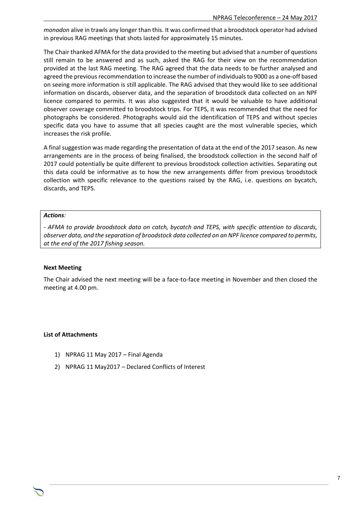*monodon* alive in trawls any longer than this. It was confirmed that a broodstock operator had advised in previous RAG meetings that shots lasted for approximately 15 minutes.

The Chair thanked AFMA for the data provided to the meeting but advised that a number of questions still remain to be answered and as such, asked the RAG for their view on the recommendation provided at the last RAG meeting. The RAG agreed that the data needs to be further analysed and agreed the previous recommendation to increase the number of individuals to 9000 as a one-off based on seeing more information is still applicable. The RAG advised that they would like to see additional information on discards, observer data, and the separation of broodstock data collected on an NPF licence compared to permits. It was also suggested that it would be valuable to have additional observer coverage committed to broodstock trips. For TEPS, it was recommended that the need for photographs be considered. Photographs would aid the identification of TEPS and without species specific data you have to assume that all species caught are the most vulnerable species, which increases the risk profile.

A final suggestion was made regarding the presentation of data at the end of the 2017 season. As new arrangements are in the process of being finalised, the broodstock collection in the second half of 2017 could potentially be quite different to previous broodstock collection activities. Separating out this data could be informative as to how the new arrangements differ from previous broodstock collection with specific relevance to the questions raised by the RAG, i.e. questions on bycatch, discards, and TEPS.

#### *Actions:*

*- AFMA to provide broodstock data on catch, bycatch and TEPS, with specific attention to discards, observer data, and the separation of broodstock data collected on an NPF licence compared to permits, at the end of the 2017 fishing season.* 

#### **Next Meeting**

The Chair advised the next meeting will be a face-to-face meeting in November and then closed the meeting at 4.00 pm.

#### **List of Attachments**

- 1) NPRAG 11 May 2017 Final Agenda
- 2) NPRAG 11 May2017 Declared Conflicts of Interest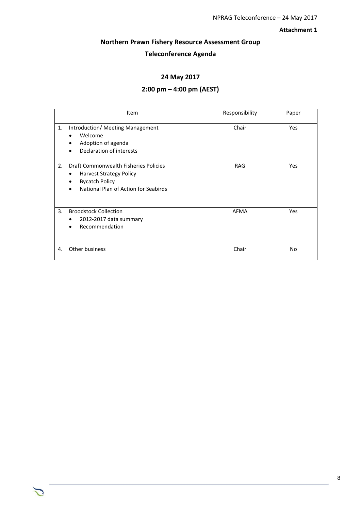#### **Attachment 1**

#### **Northern Prawn Fishery Resource Assessment Group**

## **Teleconference Agenda**

#### **24 May 2017**

#### **2:00 pm – 4:00 pm (AEST)**

|    | Item                                                                                                                                                       | Responsibility | Paper |
|----|------------------------------------------------------------------------------------------------------------------------------------------------------------|----------------|-------|
| 1. | Introduction/ Meeting Management<br>Welcome<br>$\bullet$<br>Adoption of agenda<br>Declaration of interests                                                 | Chair          | Yes   |
| 2. | Draft Commonwealth Fisheries Policies<br><b>Harvest Strategy Policy</b><br>٠<br><b>Bycatch Policy</b><br>National Plan of Action for Seabirds<br>$\bullet$ | <b>RAG</b>     | Yes   |
| 3. | <b>Broodstock Collection</b><br>2012-2017 data summary<br>Recommendation<br>$\bullet$                                                                      | <b>AFMA</b>    | Yes   |
| 4. | Other business                                                                                                                                             | Chair          | No    |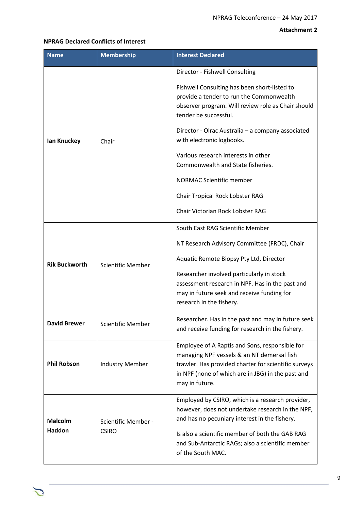#### **Attachment 2**

#### **NPRAG Declared Conflicts of Interest**

| <b>Name</b>                     | <b>Membership</b>                   | <b>Interest Declared</b>                                                                                                                                                                                                                                                                                                                                                                                                                                                   |
|---------------------------------|-------------------------------------|----------------------------------------------------------------------------------------------------------------------------------------------------------------------------------------------------------------------------------------------------------------------------------------------------------------------------------------------------------------------------------------------------------------------------------------------------------------------------|
| lan Knuckey                     | Chair                               | Director - Fishwell Consulting<br>Fishwell Consulting has been short-listed to<br>provide a tender to run the Commonwealth<br>observer program. Will review role as Chair should<br>tender be successful.<br>Director - Olrac Australia - a company associated<br>with electronic logbooks.<br>Various research interests in other<br>Commonwealth and State fisheries.<br>NORMAC Scientific member<br>Chair Tropical Rock Lobster RAG<br>Chair Victorian Rock Lobster RAG |
| <b>Rik Buckworth</b>            | <b>Scientific Member</b>            | South East RAG Scientific Member<br>NT Research Advisory Committee (FRDC), Chair<br>Aquatic Remote Biopsy Pty Ltd, Director<br>Researcher involved particularly in stock<br>assessment research in NPF. Has in the past and<br>may in future seek and receive funding for<br>research in the fishery.                                                                                                                                                                      |
| <b>David Brewer</b>             | <b>Scientific Member</b>            | Researcher. Has in the past and may in future seek<br>and receive funding for research in the fishery.                                                                                                                                                                                                                                                                                                                                                                     |
| <b>Phil Robson</b>              | <b>Industry Member</b>              | Employee of A Raptis and Sons, responsible for<br>managing NPF vessels & an NT demersal fish<br>trawler. Has provided charter for scientific surveys<br>in NPF (none of which are in JBG) in the past and<br>may in future.                                                                                                                                                                                                                                                |
| <b>Malcolm</b><br><b>Haddon</b> | Scientific Member -<br><b>CSIRO</b> | Employed by CSIRO, which is a research provider,<br>however, does not undertake research in the NPF,<br>and has no pecuniary interest in the fishery.<br>Is also a scientific member of both the GAB RAG<br>and Sub-Antarctic RAGs; also a scientific member<br>of the South MAC.                                                                                                                                                                                          |